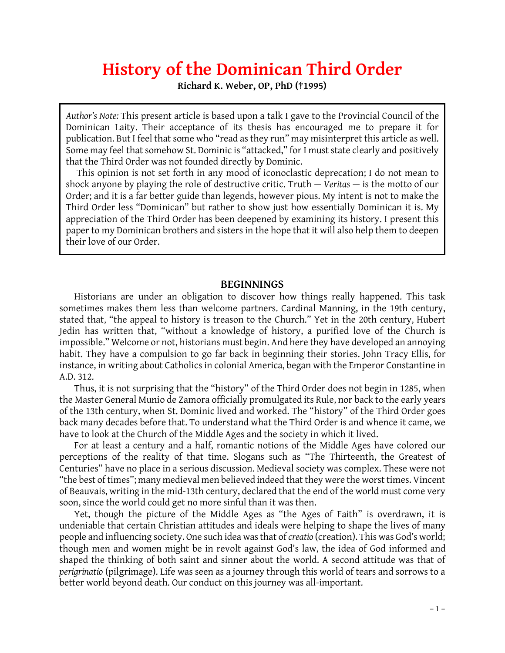# **History of the Dominican Third Order**

**Richard K. Weber, OP, PhD (†1995)**

*Author's Note:* This present article is based upon a talk I gave to the Provincial Council of the Dominican Laity. Their acceptance of its thesis has encouraged me to prepare it for publication. But I feel that some who "read as they run" may misinterpret this article as well. Some may feel that somehow St. Dominic is "attacked," for I must state clearly and positively that the Third Order was not founded directly by Dominic.

 This opinion is not set forth in any mood of iconoclastic deprecation; I do not mean to shock anyone by playing the role of destructive critic. Truth — *Veritas* — is the motto of our Order; and it is a far better guide than legends, however pious. My intent is not to make the Third Order less "Dominican" but rather to show just how essentially Dominican it is. My appreciation of the Third Order has been deepened by examining its history. I present this paper to my Dominican brothers and sisters in the hope that it will also help them to deepen their love of our Order.

## **BEGINNINGS**

Historians are under an obligation to discover how things really happened. This task sometimes makes them less than welcome partners. Cardinal Manning, in the 19th century, Historians are under an obligation to discover how things really happened. This task<br>sometimes makes them less than welcome partners. Cardinal Manning, in the 19th century,<br>stated that, "the appeal to history is treason to Jedin has written that, "without a knowledge of history, a purified love of the Church is impossible." Welcome or not, historians must begin. And here they have developed an annoying habit. They have a compulsion to go far back in beginning their stories. John Tracy Ellis, for instance, in writing about Catholics in colonial America, began with the Emperor Constantine in A.D. 312.

Thus, it is not surprising that the "history" of the Third Order does not begin in 1285, when the Master General Munio de Zamora officially promulgated its Rule, nor back to the early years of the 13th century, when St. Dominic lived and worked. The "history" of the Third Order goes back many decades before that. To understand what the Third Order is and whence it came, we have to look at the Church of the Middle Ages and the society in which it lived.

For at least a century and a half, romantic notions of the Middle Ages have colored our perceptions of the reality of that time. Slogans such as "The Thirteenth, the Greatest of Centuries" have no place in a serious discussion. Medieval society was complex. These were not "the best of times"; many medieval men believed indeed that they were the worst times. Vincent of Beauvais, writing in the mid-13th century, declared that the end of the world must come very soon, since the world could get no more sinful than it was then.

Yet, though the picture of the Middle Ages as "the Ages of Faith" is overdrawn, it is undeniable that certain Christian attitudes and ideals were helping to shape the lives of many people and influencing society. One such idea was that of *creatio* (creation). This was God's world; though men and women might be in revolt against God's law, the idea of God informed and shaped the thinking of both saint and sinner about the world. A second attitude was that of *perigrinatio* (pilgrimage). Life was seen as a journey through this world of tears and sorrows to a better world beyond death. Our conduct on this journey was all-important.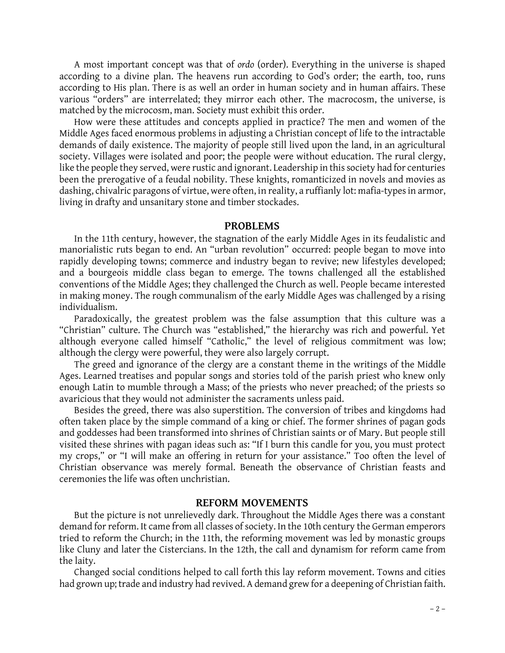A most important concept was that of *ordo* (order). Everything in the universe is shaped according to a divine plan. The heavens run according to God's order; the earth, too, runs according to His plan. There is as well an order in human society and in human affairs. These various "orders" are interrelated; they mirror each other. The macrocosm, the universe, is matched by the microcosm, man. Society must exhibit this order.

How were these attitudes and concepts applied in practice? The men and women of the Middle Ages faced enormous problems in adjusting a Christian concept of life to the intractable demands of daily existence. The majority of people still lived upon the land, in an agricultural society. Villages were isolated and poor; the people were without education. The rural clergy, like the people they served, were rustic and ignorant. Leadership in this society had for centuries been the prerogative of a feudal nobility. These knights, romanticized in novels and movies as dashing, chivalric paragons of virtue, were often, in reality, a ruffianly lot: mafia-types in armor, living in drafty and unsanitary stone and timber stockades.

### **PROBLEMS**

In the 11th century, however, the stagnation of the early Middle Ages in its feudalistic and manorialistic ruts began to end. An "urban revolution" occurred: people began to move into rapidly developing towns; commerce and industry began to revive; new lifestyles developed; and a bourgeois middle class began to emerge. The towns challenged all the established conventions of the Middle Ages; they challenged the Church as well. People became interested in making money. The rough communalism of the early Middle Ages was challenged by a rising individualism.

Paradoxically, the greatest problem was the false assumption that this culture was a "Christian" culture. The Church was "established," the hierarchy was rich and powerful. Yet although everyone called himself "Catholic," the level of religious commitment was low; although the clergy were powerful, they were also largely corrupt.

The greed and ignorance of the clergy are a constant theme in the writings of the Middle Ages. Learned treatises and popular songs and stories told of the parish priest who knew only enough Latin to mumble through a Mass; of the priests who never preached; of the priests so avaricious that they would not administer the sacraments unless paid.

Besides the greed, there was also superstition. The conversion of tribes and kingdoms had often taken place by the simple command of a king or chief. The former shrines of pagan gods and goddesses had been transformed into shrines of Christian saints or of Mary. But people still visited these shrines with pagan ideas such as: "If I burn this candle for you, you must protect my crops," or "I will make an offering in return for your assistance." Too often the level of Christian observance was merely formal. Beneath the observance of Christian feasts and ceremonies the life was often unchristian.

## **REFORM MOVEMENTS**

But the picture is not unrelievedly dark. Throughout the Middle Ages there was a constant demand for reform. It came from all classes of society. In the 10th century the German emperors tried to reform the Church; in the 11th, the reforming movement was led by monastic groups like Cluny and later the Cistercians. In the 12th, the call and dynamism for reform came from the laity.

Changed social conditions helped to call forth this lay reform movement. Towns and cities had grown up; trade and industry had revived. A demand grew for a deepening of Christian faith.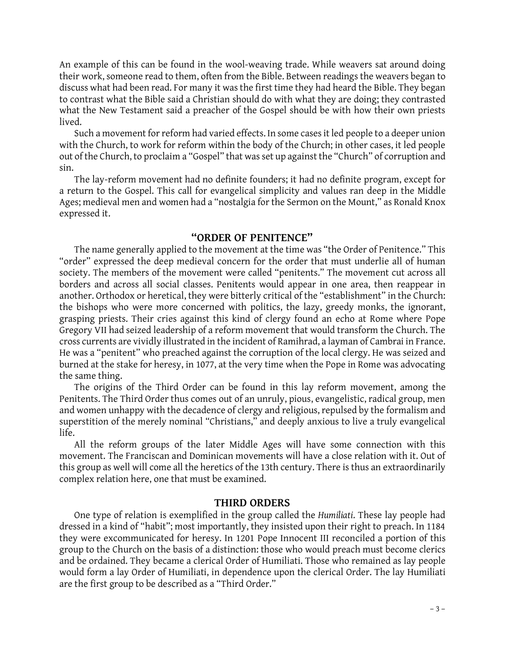An example of this can be found in the wool-weaving trade. While weavers sat around doing their work, someone read to them, often from the Bible. Between readings the weavers began to discuss what had been read. For many it was the first time they had heard the Bible. They began to contrast what the Bible said a Christian should do with what they are doing; they contrasted what the New Testament said a preacher of the Gospel should be with how their own priests lived.

Such a movement for reform had varied effects. In some cases it led people to a deeper union with the Church, to work for reform within the body of the Church; in other cases, it led people out of the Church, to proclaim a "Gospel" that was set up against the "Church" of corruption and sin.

The lay-reform movement had no definite founders; it had no definite program, except for a return to the Gospel. This call for evangelical simplicity and values ran deep in the Middle Ages; medieval men and women had a "nostalgia for the Sermon on the Mount," as Ronald Knox expressed it.

## **"ORDER OF PENITENCE"**

The name generally applied to the movement at the time was "the Order of Penitence." This "order" expressed the deep medieval concern for the order that must underlie all of human borders and across all social classes. Penitents would appear in one area, then reappear in society. The members of the movement were called "penitents." The movement cut across all another. Orthodox or heretical, they were bitterly critical of the "establishment" in the Church: the bishops who were more concerned with politics, the lazy, greedy monks, the ignorant, grasping priests. Their cries against this kind of clergy found an echo at Rome where Pope Gregory VII had seized leadership of a reform movement that would transform the Church. The cross currents are vividly illustrated in the incident of Ramihrad, a layman of Cambrai in France. He was a "penitent" who preached against the corruption of the local clergy. He was seized and burned at the stake for heresy, in 1077, at the very time when the Pope in Rome was advocating the same thing.

The origins of the Third Order can be found in this lay reform movement, among the Penitents. The Third Order thus comes out of an unruly, pious, evangelistic, radical group, men and women unhappy with the decadence of clergy and religious, repulsed by the formalism and superstition of the merely nominal "Christians," and deeply anxious to live a truly evangelical life.

All the reform groups of the later Middle Ages will have some connection with this movement. The Franciscan and Dominican movements will have a close relation with it. Out of this group as well will come all the heretics of the 13th century. There is thus an extraordinarily complex relation here, one that must be examined.

# **THIRD ORDERS**

One type of relation is exemplified in the group called the *Humiliati*. These lay people had dressed in a kind of "habit"; most importantly, they insisted upon their right to preach. In 1184 they were excommunicated for heresy. In 1201 Pope Innocent III reconciled a portion of this group to the Church on the basis of a distinction: those who would preach must become clerics and be ordained. They became a clerical Order of Humiliati. Those who remained as lay people would form a lay Order of Humiliati, in dependence upon the clerical Order. The lay Humiliati are the first group to be described as a "Third Order."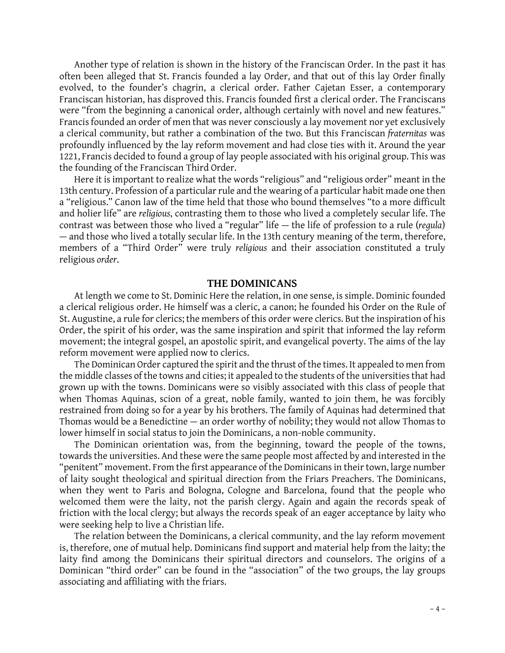Another type of relation is shown in the history of the Franciscan Order. In the past it has often been alleged that St. Francis founded a lay Order, and that out of this lay Order finally Another type of relation is shown in the history of the Franciscan Order. In the past it has<br>often been alleged that St. Francis founded a lay Order, and that out of this lay Order finally<br>evolved, to the founder's chagrin Franciscan historian, has disproved this. Francis founded first a clerical order. The Franciscans were "from the beginning a canonical order, although certainly with novel and new features." Francis founded an order of men that was never consciously a lay movement nor yet exclusively a clerical community, but rather a combination of the two. But this Franciscan *fraternitas* was profoundly influenced by the lay reform movement and had close ties with it. Around the year 1221, Francis decided to found a group of lay people associated with his original group. This was the founding of the Franciscan Third Order.

Here it is important to realize what the words "religious" and "religious order" meant in the 13th century. Profession of a particular rule and the wearing of a particular habit made one then a "religious." Canon law of the time held that those who bound themselves "to a more difficult and holier life" are *religious*, contrasting them to those who lived a completely secular life. The a "religious." Canon law of the time held that those who bound themselves "to a more difficult<br>and holier life" are *religious*, contrasting them to those who lived a completely secular life. The<br>contrast was between those and holier life" are *religious*, contrasting them to those who lived a completely secular life. The contrast was between those who lived a "regular" life — the life of profession to a rule (*regula*) — and those who lived members of a "Third Order" were truly *religious* and their association constituted a truly religious *order*.

#### **THE DOMINICANS**

At length we come to St. Dominic Here the relation, in one sense, is simple. Dominic founded a clerical religious order. He himself was a cleric, a canon; he founded his Order on the Rule of St. Augustine, a rule for clerics; the members of this order were clerics. But the inspiration of his Order, the spirit of his order, was the same inspiration and spirit that informed the lay reform movement; the integral gospel, an apostolic spirit, and evangelical poverty. The aims of the lay reform movement were applied now to clerics.

The Dominican Order captured the spirit and the thrust of the times. It appealed to men from the middle classes of the towns and cities; it appealed to the students of the universities that had grown up with the towns. Dominicans were so visibly associated with this class of people that when Thomas Aquinas, scion of a great, noble family, wanted to join them, he was forcibly grown up with the towns. Dominicans were so visibly associated with this class of people that<br>when Thomas Aquinas, scion of a great, noble family, wanted to join them, he was forcibly<br>restrained from doing so for a year by when Thomas Aquinas, scion of a great, noble family, wanted to join them, he was forcibly<br>restrained from doing so for a year by his brothers. The family of Aquinas had determined that<br>Thomas would be a Benedictine — an or lower himself in social status to join the Dominicans, a non-noble community.

The Dominican orientation was, from the beginning, toward the people of the towns, towards the universities. And these were the same people most affected by and interested in the "penitent" movement. From the first appearance of the Dominicans in their town, large number of laity sought theological and spiritual direction from the Friars Preachers. The Dominicans, when they went to Paris and Bologna, Cologne and Barcelona, found that the people who welcomed them were the laity, not the parish clergy. Again and again the records speak of friction with the local clergy; but always the records speak of an eager acceptance by laity who were seeking help to live a Christian life.

The relation between the Dominicans, a clerical community, and the lay reform movement is, therefore, one of mutual help. Dominicans find support and material help from the laity; the laity find among the Dominicans their spiritual directors and counselors. The origins of a Dominican "third order" can be found in the "association" of the two groups, the lay groups associating and affiliating with the friars.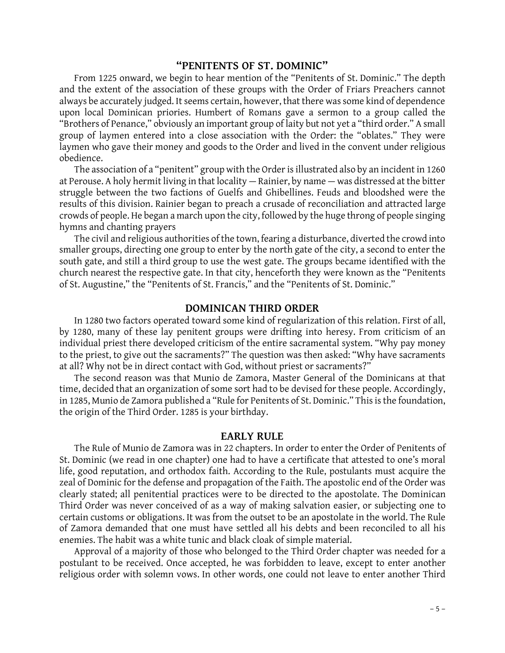# **"PENITENTS OF ST. DOMINIC"**

From 1225 onward, we begin to hear mention of the "Penitents of St. Dominic." The depth and the extent of the association of these groups with the Order of Friars Preachers cannot always be accurately judged. It seems certain, however, that there was some kind of dependence upon local Dominican priories. Humbert of Romans gave a sermon to a group called the "Brothers of Penance," obviously an important group of laity but not yet a "third order." A small group of laymen entered into a close association with the Order: the "oblates." They were laymen who gave their money and goods to the Order and lived in the convent under religious obedience.

The association of a "penitent" group with the Order is illustrated also by an incident in 1260 at Perouse. A holy hermit living in that locality — Rainier, by name — was distressed at the bitter struggle between the two factions of Guelfs and Ghibellines. Feuds and bloodshed were the results of this division. Rainier began to preach a crusade of reconciliation and attracted large crowds of people. He began a march upon the city, followed by the huge throng of people singing hymns and chanting prayers

The civil and religious authorities of the town, fearing a disturbance, diverted the crowd into smaller groups, directing one group to enter by the north gate of the city, a second to enter the The civil and religious authorities of the town, fearing a disturbance, diverted the crowd into<br>smaller groups, directing one group to enter by the north gate of the city, a second to enter the<br>south gate, and still a thir smaller groups, directing one group to enter by the north gate of the city, a second to enter the<br>south gate, and still a third group to use the west gate. The groups became identified with the<br>church nearest the respectiv of St. Augustine," the "Penitents of St. Francis," and the "Penitents of St. Dominic."

## **DOMINICAN THIRD ORDER**

In 1280 two factors operated toward some kind of regularization of this relation. First of all, by 1280, many of these lay penitent groups were drifting into heresy. From criticism of an individual priest there developed criticism of the entire sacramental system. "Why pay money to the priest, to give out the sacraments?" The question was then asked: "Why have sacraments at all? Why not be in direct contact with God, without priest or sacraments?"

The second reason was that Munio de Zamora, Master General of the Dominicans at that time, decided that an organization of some sort had to be devised for these people. Accordingly, in 1285, Munio de Zamora published a "Rule for Penitents of St. Dominic." This is the foundation, the origin of the Third Order. 1285 is your birthday.

#### **EARLY RULE**

The Rule of Munio de Zamora was in 22 chapters. In order to enter the Order of Penitents of St. Dominic (we read in one chapter) one had to have a certificate that attested to one's moral life, good reputation, and orthodox faith. According to the Rule, postulants must acquire the St. Dominic (we read in one chapter) one had to have a certificate that attested to one's moral<br>life, good reputation, and orthodox faith. According to the Rule, postulants must acquire the<br>zeal of Dominic for the defense clearly stated; all penitential practices were to be directed to the apostolate. The Dominican Third Order was never conceived of as a way of making salvation easier, or subjecting one to certain customs or obligations. It was from the outset to be an apostolate in the world. The Rule of Zamora demanded that one must have settled all his debts and been reconciled to all his enemies. The habit was a white tunic and black cloak of simple material.

Approval of a majority of those who belonged to the Third Order chapter was needed for a postulant to be received. Once accepted, he was forbidden to leave, except to enter another religious order with solemn vows. In other words, one could not leave to enter another Third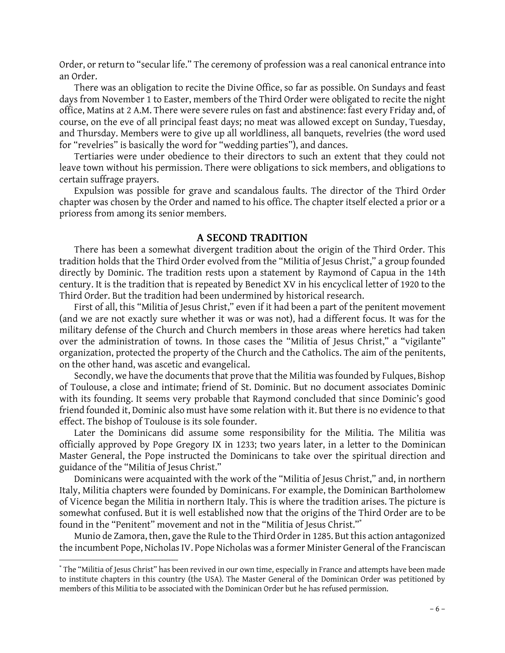Order, or return to "secular life." The ceremony of profession was a real canonical entrance into an Order.

There was an obligation to recite the Divine Office, so far as possible. On Sundays and feast days from November 1 to Easter, members of the Third Order were obligated to recite the night office, Matins at 2 A.M. There were severe rules on fast and abstinence: fast every Friday and, of course, on the eve of all principal feast days; no meat was allowed except on Sunday, Tuesday, and Thursday. Members were to give up all worldliness, all banquets, revelries (the word used for "revelries" is basically the word for "wedding parties"), and dances.

Tertiaries were under obedience to their directors to such an extent that they could not leave town without his permission. There were obligations to sick members, and obligations to certain suffrage prayers.

Expulsion was possible for grave and scandalous faults. The director of the Third Order chapter was chosen by the Order and named to his office. The chapter itself elected a prior or a prioress from among its senior members.

## **A SECOND TRADITION**

There has been a somewhat divergent tradition about the origin of the Third Order. This tradition holds that the Third Order evolved from the "Militia of Jesus Christ," a group founded directly by Dominic. The tradition rests upon a statement by Raymond of Capua in the 14th century. It is the tradition that is repeated by Benedict XV in his encyclical letter of 1920 to the Third Order. But the tradition had been undermined by historical research.

First of all, this "Militia of Jesus Christ," even if it had been a part of the penitent movement (and we are not exactly sure whether it was or was not), had a different focus. It was for the military defense of the Church and Church members in those areas where heretics had taken over the administration of towns. In those cases the "Militia of Jesus Christ," a "vigilante" organization, protected the property of the Church and the Catholics. The aim of the penitents, on the other hand, was ascetic and evangelical.

Secondly, we have the documents that prove that the Militia was founded by Fulques, Bishop of Toulouse, a close and intimate; friend of St. Dominic. But no document associates Dominic with its founding. It seems very probable that Raymond concluded that since Dominic's good friend founded it, Dominic also must have some relation with it. But there is no evidence to that<br>effect. The bishop of Toulouse is its sole founder.<br>Later the Dominicans did assume some responsibility for the Militia. The effect. The bishop of Toulouse is its sole founder.

officially approved by Pope Gregory IX in 1233; two years later, in a letter to the Dominican Master General, the Pope instructed the Dominicans to take over the spiritual direction and guidance of the "Militia of Jesus Christ."

Dominicans were acquainted with the work of the "Militia of Jesus Christ," and, in northern Italy, Militia chapters were founded by Dominicans. For example, the Dominican Bartholomew of Vicence began the Militia in northern Italy. This is where the tradition arises. The picture is<br>somewhat confused. But it is well established now that the origins of the Third Order are to be<br>found in the "Penitent" mov somewhat confused. But it is well established now that the origins of the Third Order are to be

the incumbent Pope, Nicholas IV. Pope Nicholas was a former Minister General of the Franciscan

 $-6 -$ \* The "Militia of Jesus Christ" has been revived in our own time, especially in France and attempts have been made \* The "Militia of Jesus Christ" has been revived in our own time, especially in France and attempts have been made<br>to institute chapters in this country (the USA). The Master General of the Dominican Order was petitioned b members of this Militia to be associated with the Dominican Order but he has refused permission.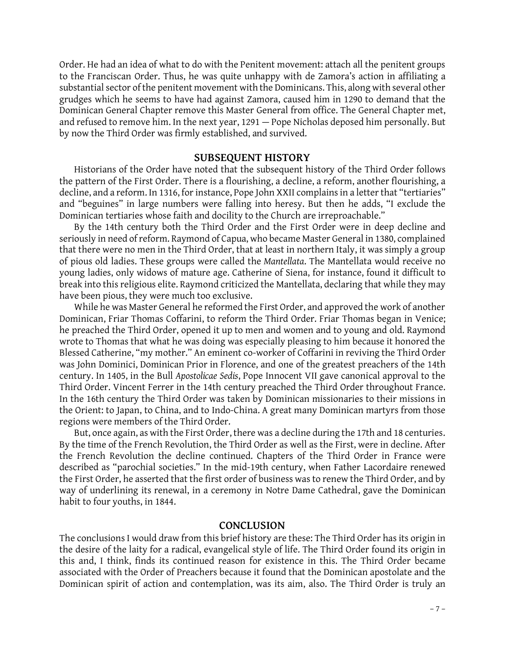Order. He had an idea of what to do with the Penitent movement: attach all the penitent groups to the Franciscan Order. Thus, he was quite unhappy with de Zamora's action in affiliating a substantial sector of the penitent movement with the Dominicans. This, along with several other grudges which he seems to have had against Zamora, caused him in 1290 to demand that the Dominican General Chapter remove this Master General from office. The General Chapter met, and refused to remove him. In the next year, 1291 — Pope Nicholas deposed him personally. But by now the Third Order was firmly established, and survived.

### **SUBSEQUENT HISTORY**

Historians of the Order have noted that the subsequent history of the Third Order follows the pattern of the First Order. There is a flourishing, a decline, a reform, another flourishing, a decline, and a reform. In 1316, for instance, Pope John XXII complains in a letter that "tertiaries" and "beguines" in large numbers were falling into heresy. But then he adds, "I exclude the Dominican tertiaries whose faith and docility to the Church are irreproachable."

By the 14th century both the Third Order and the First Order were in deep decline and seriously in need of reform. Raymond of Capua, who became Master General in 1380, complained that there were no men in the Third Order, that at least in northern Italy, it was simply a group of pious old ladies. These groups were called the *Mantellata*. The Mantellata would receive no young ladies, only widows of mature age. Catherine of Siena, for instance, found it difficult to break into this religious elite. Raymond criticized the Mantellata, declaring that while they may have been pious, they were much too exclusive.

While he was Master General he reformed the First Order, and approved the work of another Dominican, Friar Thomas Coffarini, to reform the Third Order. Friar Thomas began in Venice; he preached the Third Order, opened it up to men and women and to young and old. Raymond wrote to Thomas that what he was doing was especially pleasing to him because it honored the Blessed Catherine, "my mother." An eminent co-worker of Coffarini in reviving the Third Order was John Dominici, Dominican Prior in Florence, and one of the greatest preachers of the 14th century. In 1405, in the Bull *Apostolicae Sedis*, Pope Innocent VII gave canonical approval to the Third Order. Vincent Ferrer in the 14th century preached the Third Order throughout France. In the 16th century the Third Order was taken by Dominican missionaries to their missions in the Orient: to Japan, to China, and to Indo-China. A great many Dominican martyrs from those regions were members of the Third Order.

But, once again, as with the First Order, there was a decline during the 17th and 18 centuries. By the time of the French Revolution, the Third Order as well as the First, were in decline. After the French Revolution the decline continued. Chapters of the Third Order in France were described as "parochial societies." the French Revolution the decline continued. Chapters of the Third Order in France were described as "parochial societies." In the mid-19th century, when Father Lacordaire renewed<br>the First Order, he asserted that the first order of business was to renew the Third Order, and by way of underlining its renewal, in a ceremony in Notre Dame Cathedral, gave the Dominican habit to four youths, in 1844.

## **CONCLUSION**

The conclusions I would draw from this brief history are these: The Third Order has its origin in the desire of the laity for a radical, evangelical style of life. The Third Order found its origin in this and, I think, finds its continued reason for existence in this. The Third Order became associated with the Order of Preachers because it found that the Dominican apostolate and the this and, I think, finds its continued reason for existence in this. The Third Order became<br>associated with the Order of Preachers because it found that the Dominican apostolate and the<br>Dominican spirit of action and conte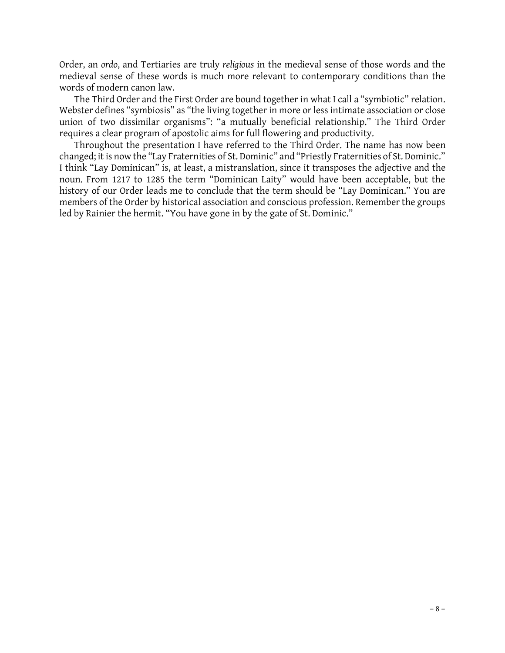Order, an *ordo*, and Tertiaries are truly *religious* in the medieval sense of those words and the medieval sense of these words is much more relevant to contemporary conditions than the words of modern canon law.

The Third Order and the First Order are bound together in what I call a "symbiotic" relation. Webster defines "symbiosis" as "the living together in more or less intimate association or close union of two dissimilar organisms": "a mutually beneficial relationship." The Third Order requires a clear program of apostolic aims for full flowering and productivity.

Throughout the presentation I have referred to the Third Order. The name has now been requires a clear program of apostolic aims for full flowering and productivity.<br>Throughout the presentation I have referred to the Third Order. The name has now been<br>changed; it is now the "Lay Fraternities of St. Dominic" Throughout the presentation I have referred to the Third Order. The name has now been<br>changed; it is now the "Lay Fraternities of St. Dominic" and "Priestly Fraternities of St. Dominic."<br>I think "Lay Dominican" is, at leas noun. From 1217 to 1285 the term "Dominican Laity" would have been acceptable, but the history of our Order leads me to conclude that the term should be "Lay Dominican." You are members of the Order by historical association and conscious profession. Remember the groups led by Rainier the hermit. "You have gone in by the gate of St. Dominic."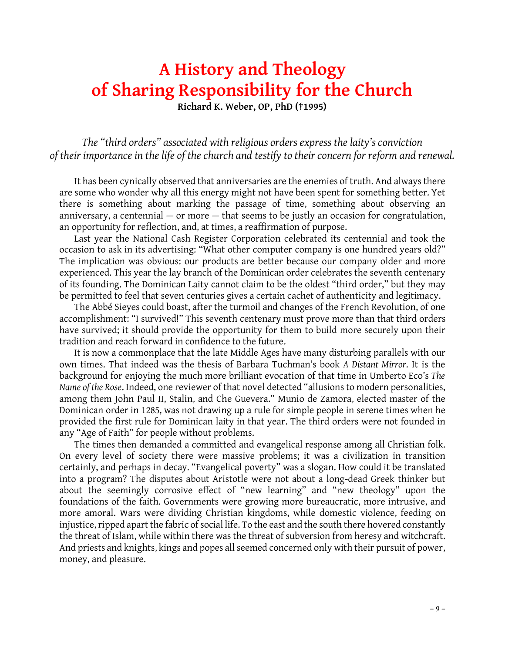# **A History and Theology of Sharing Responsibility for the Church**

**Richard K. Weber, OP, PhD (†1995)**

*The "third orders" associated with religious orders express the laity's conviction of their importance in the life of the church and testify to their concern for reform and renewal.*

It has been cynically observed that anniversaries are the enemies of truth. And always there are some who wonder why all this energy might not have been spent for something better. Yet It has been cynically observed that anniversaries are the enemies of truth. And always there<br>are some who wonder why all this energy might not have been spent for something better. Yet<br>there is something about marking the are some who wonder why all this energy might not have been spent for something better. Yet<br>there is something about marking the passage of time, something about observing an<br>anniversary, a centennial — or more — that seem there is something about marking the passage of time, something<br>anniversary, a centennial — or more — that seems to be justly an occasi<br>an opportunity for reflection, and, at times, a reaffirmation of purpose.<br>Last year th anniversary, a centennial – or more – that seems to be justly an occasion for congratulation,<br>an opportunity for reflection, and, at times, a reaffirmation of purpose.<br>Last year the National Cash Register Corporation celeb

occasion to ask in its advertising: "What other computer company is one hundred years old?" Last year the National Cash Register Corporation celebrated its centennial and took the occasion to ask in its advertising: "What other computer company is one hundred years old?"<br>The implication was obvious: our products occasion to ask in its advertising: "What other computer company is one hundred years old?"<br>The implication was obvious: our products are better because our company older and more<br>experienced. This year the lay branch of t The implication was obvious: our products are better because our company older and more<br>experienced. This year the lay branch of the Dominican order celebrates the seventh centenary<br>of its founding. The Dominican Laity can experienced. This year the lay branch of the Dominican order celebrates the seventh centenary<br>of its founding. The Dominican Laity cannot claim to be the oldest "third order," but they may<br>be permitted to feel that seven c The Abbé Sieyes could boast, after the turmoil and changes of the The Abbé Sieyes could boast, after the turmoil and changes of the French Revolution, of one applishment: "I survived!" This seventh centenary must prove mor

be permitted to feel that seven centuries gives a certain cachet of authenticity and legitimacy.<br>The Abbé Sieyes could boast, after the turmoil and changes of the French Revolution, of one<br>accomplishment: "I survived!" Thi The Abbé Sieyes could boast, after the turmoil and changes of the French Revolution, of one<br>accomplishment: "I survived!" This seventh centenary must prove more than that third orders<br>have survived; it should provide the o accomplishment: "I survived!" This seventh centenary must prove more than that third orders have survived; it should provide the opportunity for them to build more securely upon their tradition and reach forward in confide have survived; it should provide the opportunity for them to build more securely upon their<br>tradition and reach forward in confidence to the future.<br>It is now a commonplace that the late Middle Ages have many disturbing pa

tradition and reach forward in confidence to the future.<br>It is now a commonplace that the late Middle Ages have many disturbing parallels with our<br>own times. That indeed was the thesis of Barbara Tuchman's book *A Distant* It is now a commonplace that the late Middle Ages have many disturbing parallels with our<br>own times. That indeed was the thesis of Barbara Tuchman's book A Distant Mirror. It is the<br>background for enjoying the much more br own times. That indeed was the thesis of Barbara Tuchman's book A Distant Mirror. It is the<br>background for enjoying the much more brilliant evocation of that time in Umberto Eco's *The*<br>Name of the Rose. Indeed, one review background for enjoying the much more brilliant evocation of that time in Umberto Eco's *The*<br>Name of the Rose. Indeed, one reviewer of that novel detected "allusions to modern personalities,<br>among them John Paul II, Stali Name of the Rose. Indeed, one reviewer of that novel detected "allusions to modern personalities,<br>among them John Paul II, Stalin, and Che Guevera." Munio de Zamora, elected master of the<br>Dominican order in 1285, was not d among them John Paul II, Stalin, and Che Guevera." Munio de Zamora, elected master of the Dominican order in 1285, was not drawing up a rule for simple people in serene times when he provided the first rule for Dominican l any "Age of Faith" for people without problems. wided the first rule for Dominican laity in that year. The third orders were not founded in<br>"Age of Faith" for people without problems.<br>The times then demanded a committed and evangelical response among all Christian folk.

any "Age of Faith" for people without problems.<br>The times then demanded a committed and evangelical response among all Christian folk.<br>On every level of society there were massive problems; it was a civilization in transit On every level of society there were massive problems; it was a civilization in transition certainly, and perhaps in decay. "Evangelical poverty" was a slogan. How could it be translated into a program? The disputes about certainly, and perhaps in decay. "Evangelical poverty" was a slogan. How could it be translated about the seemingly corrosive effect of "new learning" and "new theology" upon the into a program? The disputes about Aristotle were not about a long-dead Greek thinker but<br>about the seemingly corrosive effect of "new learning" and "new theology" upon the<br>foundations of the faith. Governments were growin about the seemingly corrosive effect of "new learning" and "new theology" upon the foundations of the faith. Governments were growing more bureaucratic, more intrusive, and more amoral. Wars were dividing Christian kingdom foundations of the faith. Governments were growing more bureaucratic, more intrusive, and<br>more amoral. Wars were dividing Christian kingdoms, while domestic violence, feeding on<br>injustice, ripped apart the fabric of social more amoral. Wars were dividing Christian kingdoms, while domestic violence, feeding on<br>injustice, ripped apart the fabric of social life. To the east and the south there hovered constantly<br>the threat of Islam, while withi injustice, ripped apart the fabric of social life. To the east and the south there hovered constantly<br>the threat of Islam, while within there was the threat of subversion from heresy and witchcraft.<br>And priests and knights money, and pleasure.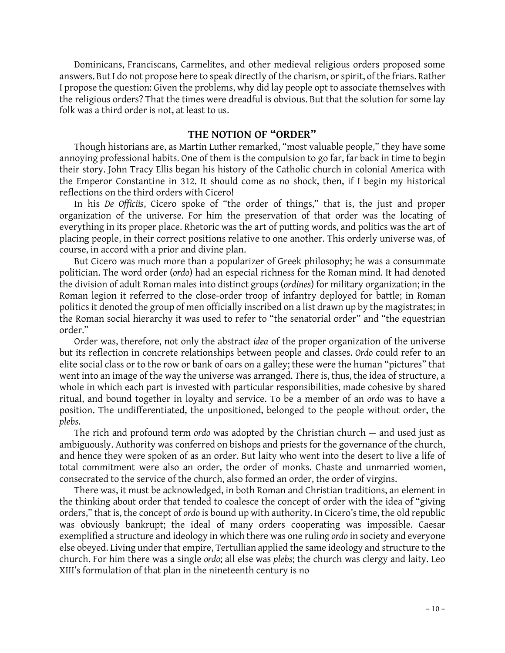Dominicans, Franciscans, Carmelites, and other medieval religious orders proposed some Dominicans, Franciscans, Carmelites, and other medieval religious orders proposed some<br>answers. But I do not propose here to speak directly of the charism, or spirit, of the friars. Rather<br>I propose the question: Given the Dominicans, Franciscans, Carmelites, and other medieval religious orders proposed some<br>answers. But I do not propose here to speak directly of the charism, or spirit, of the friars. Rather<br>I propose the question: Given the answers. But I do not propose here to speak directly of the charism, or spirit, of the friars. Rather<br>I propose the question: Given the problems, why did lay people opt to associate themselves with<br>the religious orders? Th I propose the question: Given the problems,<br>the religious orders? That the times were dr<br>folk was a third order is not, at least to us.

# **THE NOTION OF "ORDER"**

Though historians are, as Martin Luther remarked, "most valuable people," they have some annoying professional habits. One of them is the compulsion to go far, far back in time to begin Though historians are, as Martin Luther remarked, "most valuable people," they have some<br>annoying professional habits. One of them is the compulsion to go far, far back in time to begin<br>their story. John Tracy Ellis began annoying professional habits. One of them is the compulsion to go far, far back in time to begin<br>their story. John Tracy Ellis began his history of the Catholic church in colonial America with<br>the Emperor Constantine in 31 the Emperor Constantine in 312. It should come as no shock, then, if I begin my historical reflections on the third orders with Cicero!

In his *De Officiis*, Cicero spoke of "the order of things," that is, the just and proper reflections on the third orders with Cicero!<br>In his *De Officiis*, Cicero spoke of "the order of things," that is, the just and proper<br>organization of the universe. For him the preservation of that order was the locating o In his *De Officiis*, Cicero spoke of "the order of things," that is, the just and proper organization of the universe. For him the preservation of that order was the locating of everything in its proper place. Rhetoric wa organization of the universe. For him the preservation of that order was the locating of<br>everything in its proper place. Rhetoric was the art of putting words, and politics was the art of<br>placing people, in their correct p everything in its proper place. Rhetoric was the art of putting words, and politics was the art of placing people, in their correct positions relative to one another. This orderly universe was, of course, in accord with a

But Cicero was much more than a popularizer of Greek philosophy; he was a consummate politician. The word with a prior and divine plan.<br>But Cicero was much more than a popularizer of Greek philosophy; he was a consummate<br>politician. The word order (*ordo*) had an especial richness for the Roman mind. It ha But Cicero was much more than a popularizer of Greek philosophy; he was a consummate<br>politician. The word order (*ordo*) had an especial richness for the Roman mind. It had denoted<br>the division of adult Roman males into di politician. The word order (*ordo*) had an especial richness for the Roman mind. It had denoted<br>the division of adult Roman males into distinct groups (*ordines*) for military organization; in the<br>Roman legion it referred the division of adult Roman males into distinct groups (*ordines*) for military organization; in the Roman legion it referred to the close-order troop of infantry deployed for battle; in Roman politics it denoted the group Roman legion it referred to the close-order troop of infantry deployed for battle; in Roman<br>politics it denoted the group of men officially inscribed on a list drawn up by the magistrates; in<br>the Roman social hierarchy it order." the Roman social hierarchy it was used to refer to "the senatorial order" and "the equestrian order."<br>Order was, therefore, not only the abstract *idea* of the proper organization of the universe

but its reflection in concrete relationships between people and classes. *Ordo* could refer to an Order was, therefore, not only the abstract *idea* of the proper organization of the universe<br>but its reflection in concrete relationships between people and classes. Ordo could refer to an<br>elite social class or to the row but its reflection in concrete relationships between people and classes. Ordo could refer to an<br>elite social class or to the row or bank of oars on a galley; these were the human "pictures" that<br>went into an image of the w elite social class or to the row or bank of oars on a galley; these were the human "pictures" that went into an image of the way the universe was arranged. There is, thus, the idea of structure, a whole in which each part went into an image of the way the universe was arranged. There is, thus, the idea of structure, a whole in which each part is invested with particular responsibilities, made cohesive by shared *plebs*. position. The undifferentiated, the unpositioned, belonged to the people without order, the plebs.<br>The rich and profound term *ordo* was adopted by the Christian church — and used just as

plebs.<br>The rich and profound term ordo was adopted by the Christian church — and used just as<br>ambiguously. Authority was conferred on bishops and priests for the governance of the church,<br>and hence they were spoken of as a The rich and profound term ordo was adopted by the Christian church  $-$  and used just as<br>ambiguously. Authority was conferred on bishops and priests for the governance of the church,<br>and hence they were spoken of as an or ambiguously. Authority was conferred on bishops and priests for the governance of the church,<br>and hence they were spoken of as an order. But laity who went into the desert to live a life of<br>total commitment were also an or and hence they were spoken of as an order. But laity who went into the desert to live total commitment were also an order, the order of monks. Chaste and unmarrie consecrated to the service of the church, also formed an or Il commitment were also an order, the order of monks. Chaste and unmarried women,<br>secrated to the service of the church, also formed an order, the order of virgins.<br>There was, it must be acknowledged, in both Roman and Chr

% consecrated to the service of the church, also formed an order, the order of virgins.<br>There was, it must be acknowledged, in both Roman and Christian traditions, an element in<br>the thinking about order that tended to coal There was, it must be acknowledged, in both Roman and Christian traditions, an element in<br>the thinking about order that tended to coalesce the concept of order with the idea of "giving<br>orders," that is, the concept of ordo orders," that is, the concept of *ordo* is bound up with authority. In Cicero's time, the old republic was obviously bankrupt; the ideal of many orders cooperating was impossible. Caesar exemplified a structure and ideolog was obviously bankrupt; the ideal of many orders cooperating was impossible. Caesar was obviously bankrupt; the ideal of many orders cooperating was impossible. Caesar<br>exemplified a structure and ideology in which there was one ruling *ordo* in society and everyone<br>else obeyed. Living under that empire, T exemplified a structure and ideology in which there was one ruling *ordo* in society and everyone<br>else obeyed. Living under that empire, Tertullian applied the same ideology and structure to the<br>church. For him there was a XIII's formulation of that plan in the nineteenth century is no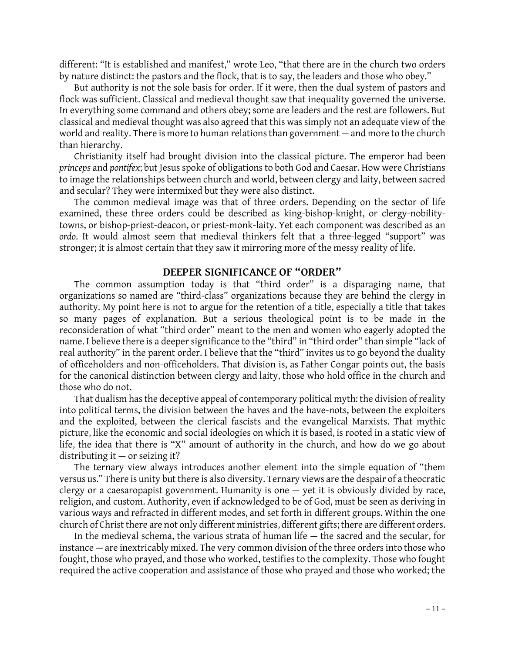different: "It is established and manifest," wrote Leo, "that there are in the church two orders<br>by nature distinct: the nastors and the flock, that is to say, the leaders and those who obey," different: "It is established and manifest," wrote Leo, "that there are in the church two orders<br>by nature distinct: the pastors and the flock, that is to say, the leaders and those who obey."<br>But authority is not the sole erent: "It is established and manifest," wrote Leo, "that there are in the church two orders<br>nature distinct: the pastors and the flock, that is to say, the leaders and those who obey."<br>But authority is not the sole basis

by nature distinct: the pastors and the flock, that is to say, the leaders and those who obey."<br>But authority is not the sole basis for order. If it were, then the dual system of pastors and<br>flock was sufficient. Classical But authority is not the sole basis for order. If it were, then the dual system of pastors and<br>flock was sufficient. Classical and medieval thought saw that inequality governed the universe.<br>In everything some command and flock was sufficient. Classical and medieval thought saw that inequality governed the universe.<br>In everything some command and others obey; some are leaders and the rest are followers. But<br>classical and medieval thought wa In everything some command and others obey; some are leaders and the rest are followers. But<br>classical and medieval thought was also agreed that this was simply not an adequate view of the<br>world and reality. There is more classical and med<br>world and reality.<br>than hierarchy.<br>Christianity i world and reality. There is more to human relations than government – and more to the church<br>than hierarchy.<br>Christianity itself had brought division into the classical picture. The emperor had been

*princeps* and *pontifex*; but Jesus spoke of obligations to both God and Caesar. How were Christians Christianity itself had brought division into the classical picture. The emperor had been<br>princeps and pontifex; but Jesus spoke of obligations to both God and Caesar. How were Christians<br>to image the relationships between princeps and pontifex; but Jesus spoke of obligations to both God are to image the relationships between church and world, between cland secular? They were intermixed but they were also distinct.<br>The common medieval image mage the relationships between church and world, between clergy and laity, between sacred<br>secular? They were intermixed but they were also distinct.<br>The common medieval image was that of three orders. Depending on the sect

and secular? They were intermixed but they were also distinct.<br>The common medieval image was that of three orders. Depending on the sector of life<br>examined, these three orders could be described as king-bishop-knight, or c The common medieval image was that of three orders. Depending on the sector of life<br>examined, these three orders could be described as king-bishop-knight, or clergy-nobility-<br>towns, or bishop-priest-deacon, or priest-monkexamined, these three orders could be described as king-bishop-knight, or clergy-nobility-<br>towns, or bishop-priest-deacon, or priest-monk-laity. Yet each component was described as an<br>ordo. It would almost seem that mediev ordo. It would almost seem that medieval thinkers felt that a three-legged "support" was stronger; it is almost certain that they saw it mirroring more of the messy reality of life.

## **DEEPER SIGNIFICANCE OF "ORDER"**

The common assumption today is that "third order" is a disparaging name, that **DEEPER SIGNIFICANCE OF "ORDER"**<br>The common assumption today is that "third-order" is a disparaging name, that<br>organizations so named are "third-class" organizations because they are behind the clergy in<br>authority. My poin The common assumption today is that "third order" is a disparaging name, that<br>organizations so named are "third-class" organizations because they are behind the clergy in<br>authority. My point here is not to argue for the re organizations so named are "third-class" organizations because they are behind the clergy in<br>authority. My point here is not to argue for the retention of a title, especially a title that takes<br>so many pages of explanation authority. My point here is not to argue for the retention of a title, especially a title that takes<br>so many pages of explanation. But a serious theological point is to be made in the<br>reconsideration of what "third order" so many pages of explanation. But a serious theological point is to be made in the reconsideration of what "third order" meant to the men and women who eagerly adopted the name. I believe there is a deeper significance to reconsideration of what "third order" meant to the men and women who eagerly adopted the<br>name. I believe there is a deeper significance to the "third" in "third order" than simple "lack of<br>real authority" in the parent ord name. I believe there is a deeper significance to the "third" in "third order" than simple "lack of<br>real authority" in the parent order. I believe that the "third" invites us to go beyond the duality<br>of officeholders and n real authority" in the parent order. I believe that the "third" invites us to go beyond the duality<br>of officeholders and non-officeholders. That division is, as Father Congar points out, the basis those who do not. for the canonical distinction between clergy and laity, those who hold office in the church and<br>those who do not.<br>That dualism has the deceptive appeal of contemporary political myth: the division of reality

into political terms, the division between the haves and the have-nots, between the exploiters That dualism has the deceptive appeal of contemporary political myth: the division of reality<br>into political terms, the division between the haves and the have-nots, between the exploiters<br>and the exploited, between the cl into political terms, the division between the haves and the have-nots, between the exploiters<br>and the exploited, between the clerical fascists and the evangelical Marxists. That mythic<br>picture, like the economic and socia and the exploited, between the clerical fascists and the evangelical Marxists. That mythic<br>picture, like the economic and social ideologies on which it is based, is rooted in a static view of<br>life, the idea that there is " picture, like the economic and so<br>life, the idea that there is "X" a<br>distributing it — or seizing it?<br>The ternary view always int the idea that there is "X" amount of authority in the church, and how do we go about<br>ributing it — or seizing it?<br>The ternary view always introduces another element into the simple equation of "them<br>sus " There is unity bu

distributing it – or seizing it?<br>The ternary view always introduces another element into the simple equation of "them<br>versus us." There is unity but there is also diversity. Ternary views are the despair of a theocratic The ternary view always introduces another element into the simple equation of "them<br>versus us." There is unity but there is also diversity. Ternary views are the despair of a theocratic<br>clergy or a caesaropapist governme versus us." There is unity but there is also diversity. Ternary views are the despair of a theocratic<br>clergy or a caesaropapist government. Humanity is one — yet it is obviously divided by race,<br>religion, and custom. Autho clergy or a caesaropapist government. Humanity is one — yet it is obviously divided by race,<br>religion, and custom. Authority, even if acknowledged to be of God, must be seen as deriving in<br>various ways and refracted in dif religion, and custom. Authority, even if acknowledged to be of God, must be seen as deriving in various ways and refracted in different modes, and set forth in different groups. Within the one church of Christ there are no ious ways and refracted in different modes, and set forth in different groups. Within the one<br>rch of Christ there are not only different ministries, different gifts; there are different orders.<br>In the medieval schema, the

church of Christ there are not only different ministries, different gifts; there are different orders.<br>In the medieval schema, the various strata of human life — the sacred and the secular, for<br>instance — are inextricably In the medieval schema, the various strata of human life — the sacred and the secular, for<br>instance — are inextricably mixed. The very common division of the three orders into those who<br>fought, those who prayed, and those instance — are inextricably mixed. The very common division of the three orders into those who<br>fought, those who prayed, and those who worked, testifies to the complexity. Those who fought<br>required the active cooperation a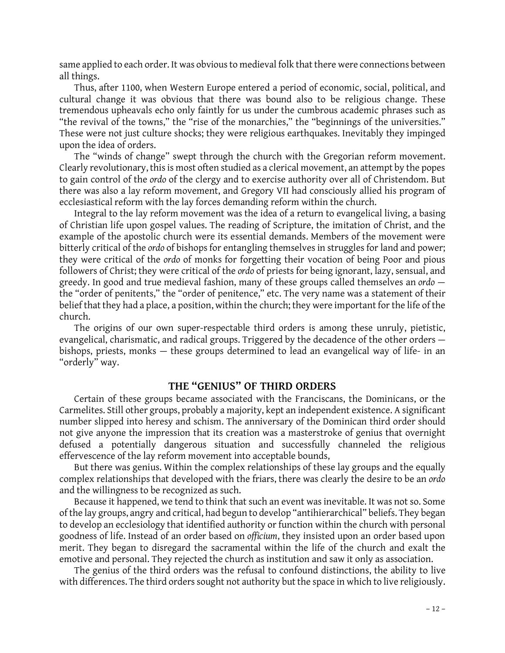same applied to each order. It was obvious to medieval folk that there were connections between<br>all things same applied<br>all things.<br>Thus afte e applied to each order. It was obvious to medieval folk that there were connections between<br>hings.<br>Thus, after 1100, when Western Europe entered a period of economic, social, political, and<br>ural, change, it was obvious, t

all things.<br>Thus, after 1100, when Western Europe entered a period of economic, social, political, and<br>cultural change it was obvious that there was bound also to be religious change. These<br>tremendous upheavals echo only f Thus, after 1100, when Western Europe entered a period of economic, social, political, and<br>cultural change it was obvious that there was bound also to be religious change. These<br>tremendous upheavals echo only faintly for u cultural change it was obvious that there was bound also to be religious change. These<br>tremendous upheavals echo only faintly for us under the cumbrous academic phrases such as<br>"the revival of the towns," the "rise of the tremendous upheavals echo only faintly for us under the cumbrous academic phrases such as "the revival of the towns," the "rise of the monarchies," the "beginnings of the universities."<br>These were not just culture shocks; "the revival of the towns,"<br>These were not just culture<br>upon the idea of orders.<br>The "winds of change" These were not just culture shocks; they were religious earthquakes. Inevitably they impinged<br>upon the idea of orders.<br>The "winds of change" swept through the church with the Gregorian reform movement.

upon the idea of orders.<br>The "winds of change" swept through the church with the Gregorian reform movement.<br>Clearly revolutionary, this is most often studied as a clerical movement, an attempt by the popes<br>to gain control The "winds of change" swept through the church with the Gregorian reform movement.<br>Clearly revolutionary, this is most often studied as a clerical movement, an attempt by the popes<br>to gain control of the *ordo* of the cler Clearly revolutionary, this is most often studied as a clerical movement, an attempt by the popes<br>to gain control of the *ordo* of the clergy and to exercise authority over all of Christendom. But<br>there was also a lay refo to gain control of the ordo of the clergy and to exercise authority over all of Ch<br>there was also a lay reform movement, and Gregory VII had consciously allied<br>ecclesiastical reform with the lay forces demanding reform wit ecclesiastical reform with the lay forces demanding reform within the church.<br>Integral to the lay reform movement was the idea of a return to evangelical living, a basing

ecclesiastical reform with the lay forces demanding reform within the church.<br>Integral to the lay reform movement was the idea of a return to evangelical living, a basing<br>of Christian life upon gospel values. The reading o Integral to the lay reform movement was the idea of a return to evangelical living, a basing<br>of Christian life upon gospel values. The reading of Scripture, the imitation of Christ, and the<br>example of the apostolic church of Christian life upon gospel values. The reading of Scripture, the imitation of Christ, and the example of the apostolic church were its essential demands. Members of the movement were bitterly critical of the *ordo* of b they were critical of the *ordo* of monks for forgetting their vocation of being Poor and pious bitterly critical of the *ordo* of bishops for entangling themselves in struggles for land and power;<br>they were critical of the *ordo* of monks for forgetting their vocation of being Poor and pious<br>followers of Christ; the they were critical of the ordo of monks for forgetting their vocation of being Poor and pious<br>followers of Christ; they were critical of the ordo of priests for being ignorant, lazy, sensual, and<br>greedy. In good and true m followers of Christ; they were critical of the ordo of priests for being ignorant, lazy, sensual, and<br>greedy. In good and true medieval fashion, many of these groups called themselves an ordo —<br>the "order of penitents," th greedy. In good and true medieval fashion, many of these groups called themselves an ordo –<br>the "order of penitents," the "order of penitence," etc. The very name was a statement of their<br>belief that they had a place, a po church.

The origins of our own super-respectable third orders is among these unruly, pietistic, church.<br>The origins of our own super-respectable third orders is among these unruly, pietistic,<br>evangelical, charismatic, and radical groups. Triggered by the decadence of the other orders —<br>hishops, priests, monks — these The origins of our own super-respectable third orders is among these unruly, pietistic,<br>evangelical, charismatic, and radical groups. Triggered by the decadence of the other orders —<br>bishops, priests, monks — these groups "orderly" way.

## **THE "GENIUS" OF THIRD ORDERS**

Certain of these groups became associated with the Franciscans, the Dominicans, or the **Carmelites. Still other groups became associated with the Franciscans, the Dominicans, or the<br>Carmelites. Still other groups, probably a majority, kept an independent existence. A significant<br>number slinned into heresy an** Certain of these groups became associated with the Franciscans, the Dominicans, or the Carmelites. Still other groups, probably a majority, kept an independent existence. A significant number slipped into heresy and schism Carmelites. Still other groups, probably a majority, kept an independent existence. A significant<br>number slipped into heresy and schism. The anniversary of the Dominican third order should<br>not give anyone the impression th number slipped into heresy and schism. The anniversary of the Dominican third order should<br>not give anyone the impression that its creation was a masterstroke of genius that overnight<br>defused - a - potentially - dangerous not give anyone the impression that its creation was a masterstrok<br>defused a potentially dangerous situation and successfully<br>effervescence of the lay reform movement into acceptable bounds,<br>But there was genius Within the used a potentially dangerous situation and successfully channeled the religious<br>rvescence of the lay reform movement into acceptable bounds,<br>But there was genius. Within the complex relationships of these lay groups and th

effervescence of the lay reform movement into acceptable bounds,<br>But there was genius. Within the complex relationships of these lay groups and the equally<br>complex relationships that developed with the friars, there was cl and the willingness to be recognized as such.

Because it happened, we tend to think that such an event was inevitable. It was not so. Some and the willingness to be recognized as such.<br>Because it happened, we tend to think that such an event was inevitable. It was not so. Some<br>of the lay groups, angry and critical, had begun to develop "antihierarchical" beli Because it happened, we tend to think that such an event was inevitable. It was not so. Some<br>of the lay groups, angry and critical, had begun to develop "antihierarchical" beliefs. They began<br>to develop an ecclesiology tha of the lay groups, angry and critical, had begun to develop "antihierarchical" beliefs. They began<br>to develop an ecclesiology that identified authority or function within the church with personal<br>goodness of life. Instead to develop an ecclesiology that identified authority or function within the church with personal<br>goodness of life. Instead of an order based on *officium*, they insisted upon an order based upon<br>merit. They began to disreg goodness of life. Instead of an order based on officium, they insisted upon an order based upom<br>merit. They began to disregard the sacramental within the life of the church and exalt the<br>emotive and personal. They rejected merit. They began to disregard the sacramental within the life of the church and exalt the emotive and personal. They rejected the church as institution and saw it only as association.<br>The genius of the third orders was th

with differences. The third orders sought not authority but the space in which to live religiously.